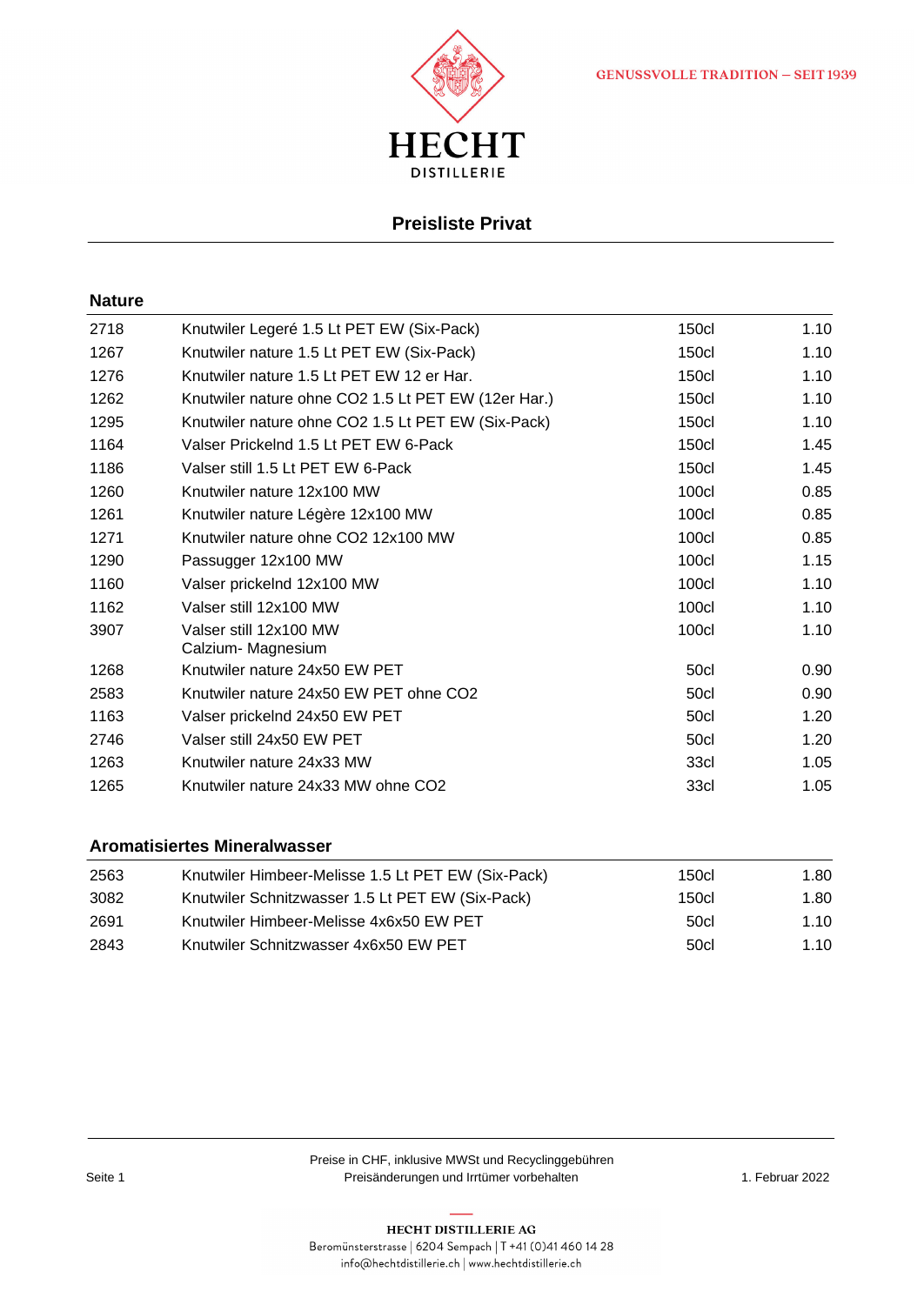



### **Preisliste Privat**

#### **Nature**

| 2718 | Knutwiler Legeré 1.5 Lt PET EW (Six-Pack)           | <b>150cl</b> | 1.10 |
|------|-----------------------------------------------------|--------------|------|
| 1267 | Knutwiler nature 1.5 Lt PET EW (Six-Pack)           | <b>150cl</b> | 1.10 |
| 1276 | Knutwiler nature 1.5 Lt PET EW 12 er Har.           | <b>150cl</b> | 1.10 |
| 1262 | Knutwiler nature ohne CO2 1.5 Lt PET EW (12er Har.) | <b>150cl</b> | 1.10 |
| 1295 | Knutwiler nature ohne CO2 1.5 Lt PET EW (Six-Pack)  | <b>150cl</b> | 1.10 |
| 1164 | Valser Prickelnd 1.5 Lt PET EW 6-Pack               | <b>150cl</b> | 1.45 |
| 1186 | Valser still 1.5 Lt PET EW 6-Pack                   | <b>150cl</b> | 1.45 |
| 1260 | Knutwiler nature 12x100 MW                          | 100cl        | 0.85 |
| 1261 | Knutwiler nature Légère 12x100 MW                   | 100cl        | 0.85 |
| 1271 | Knutwiler nature ohne CO2 12x100 MW                 | 100cl        | 0.85 |
| 1290 | Passugger 12x100 MW                                 | 100cl        | 1.15 |
| 1160 | Valser prickelnd 12x100 MW                          | <b>100cl</b> | 1.10 |
| 1162 | Valser still 12x100 MW                              | <b>100cl</b> | 1.10 |
| 3907 | Valser still 12x100 MW<br>Calzium- Magnesium        | <b>100cl</b> | 1.10 |
| 1268 | Knutwiler nature 24x50 EW PET                       | 50cl         | 0.90 |
| 2583 | Knutwiler nature 24x50 EW PET ohne CO2              | 50cl         | 0.90 |
| 1163 | Valser prickelnd 24x50 EW PET                       | 50cl         | 1.20 |
| 2746 | Valser still 24x50 EW PET                           | 50cl         | 1.20 |
| 1263 | Knutwiler nature 24x33 MW                           | 33cl         | 1.05 |
| 1265 | Knutwiler nature 24x33 MW ohne CO2                  | 33cl         | 1.05 |
|      |                                                     |              |      |

### **Aromatisiertes Mineralwasser**

| 2563 | Knutwiler Himbeer-Melisse 1.5 Lt PET EW (Six-Pack) | 150cl | 1.80 |
|------|----------------------------------------------------|-------|------|
| 3082 | Knutwiler Schnitzwasser 1.5 Lt PET EW (Six-Pack)   | 150cl | 1.80 |
| 2691 | Knutwiler Himbeer-Melisse 4x6x50 EW PET            | 50cl  | 1.10 |
| 2843 | Knutwiler Schnitzwasser 4x6x50 EW PET              | 50cl  | 1.10 |

 $\mathsf{info}(\mathsf{a}\mathsf{hechtd}\mathsf{istill}$ erie.ch $|\mathsf{www}. \mathsf{hechtdistill}$ erie.ch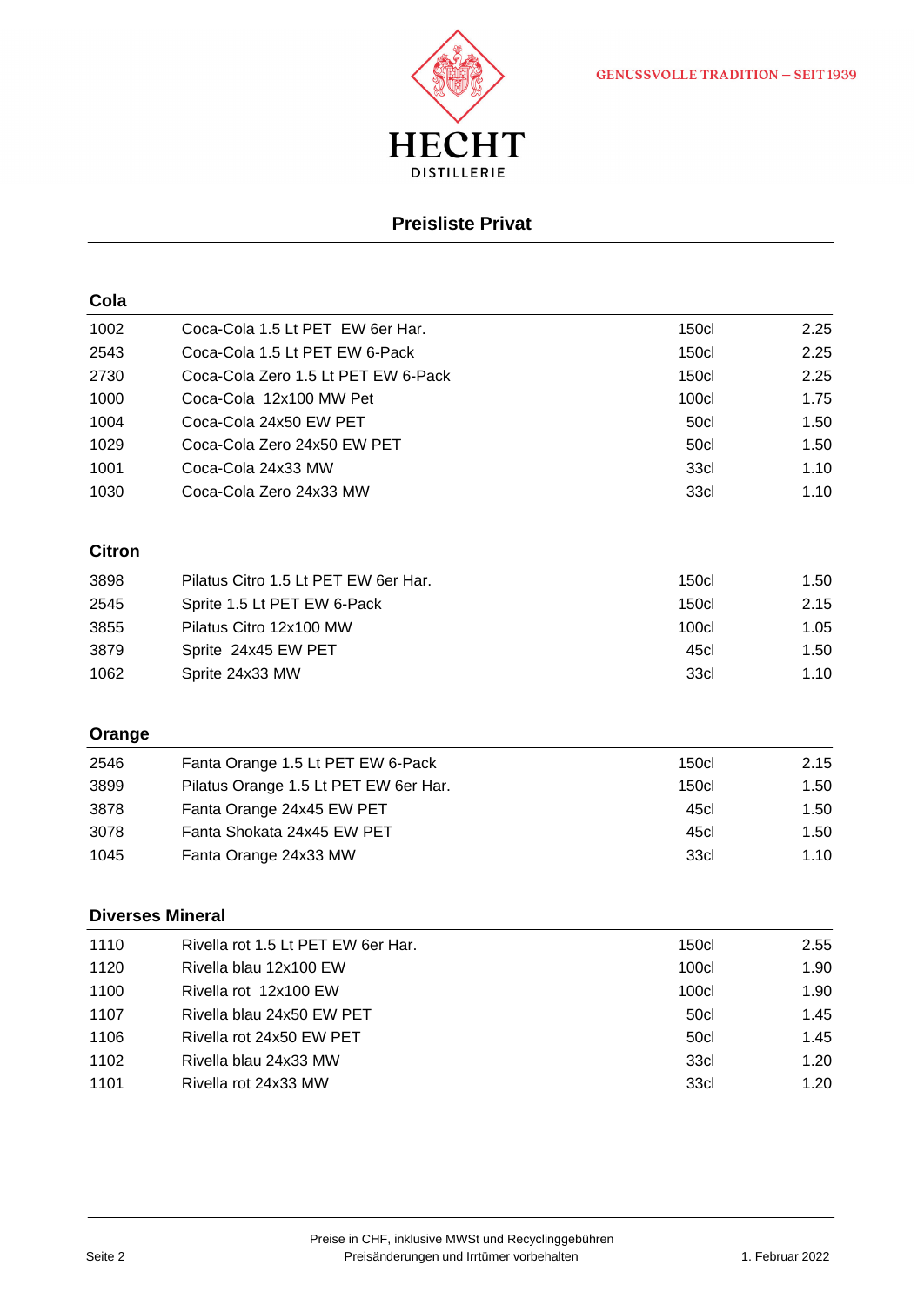

# **Preisliste Privat**

| Cola          |                                       |              |      |
|---------------|---------------------------------------|--------------|------|
| 1002          | Coca-Cola 1.5 Lt PET EW 6er Har.      | <b>150cl</b> | 2.25 |
| 2543          | Coca-Cola 1.5 Lt PET EW 6-Pack        | <b>150cl</b> | 2.25 |
| 2730          | Coca-Cola Zero 1.5 Lt PET EW 6-Pack   | <b>150cl</b> | 2.25 |
| 1000          | Coca-Cola 12x100 MW Pet               | <b>100cl</b> | 1.75 |
| 1004          | Coca-Cola 24x50 EW PET                | 50cl         | 1.50 |
| 1029          | Coca-Cola Zero 24x50 EW PET           | 50cl         | 1.50 |
| 1001          | Coca-Cola 24x33 MW                    | 33cl         | 1.10 |
| 1030          | Coca-Cola Zero 24x33 MW               | 33cl         | 1.10 |
| <b>Citron</b> |                                       |              |      |
| 3898          | Pilatus Citro 1.5 Lt PET EW 6er Har.  | <b>150cl</b> | 1.50 |
| 2545          | Sprite 1.5 Lt PET EW 6-Pack           | 150c         | 2.15 |
| 3855          | Pilatus Citro 12x100 MW               | 100cl        | 1.05 |
| 3879          | Sprite 24x45 EW PET                   | 45cl         | 1.50 |
| 1062          | Sprite 24x33 MW                       | 33cl         | 1.10 |
| Orange        |                                       |              |      |
| 2546          | Fanta Orange 1.5 Lt PET EW 6-Pack     | <b>150cl</b> | 2.15 |
| 3899          | Pilatus Orange 1.5 Lt PET EW 6er Har. | <b>150cl</b> | 1.50 |
| 3878          | Fanta Orange 24x45 EW PET             | 45cl         | 1.50 |
| 3078          | Fanta Shokata 24x45 EW PET            | 45cl         | 1.50 |
| 1045          | Fanta Orange 24x33 MW                 | 33cl         | 1.10 |
|               | <b>Diverses Mineral</b>               |              |      |
| 1110          | Rivella rot 1.5 Lt PET EW 6er Har.    | <b>150cl</b> | 2.55 |
| 1120          | Rivella blau 12x100 EW                | <b>100cl</b> | 1.90 |
| 1100          | Rivella rot 12x100 EW                 | <b>100cl</b> | 1.90 |
| 1107          | Rivella blau 24x50 EW PET             | 50cl         | 1.45 |
| 1106          | Rivella rot 24x50 EW PET              | 50cl         | 1.45 |
| 1102          | Rivella blau 24x33 MW                 | 33cl         | 1.20 |
| 1101          | Rivella rot 24x33 MW                  | 33cl         | 1.20 |
|               |                                       |              |      |